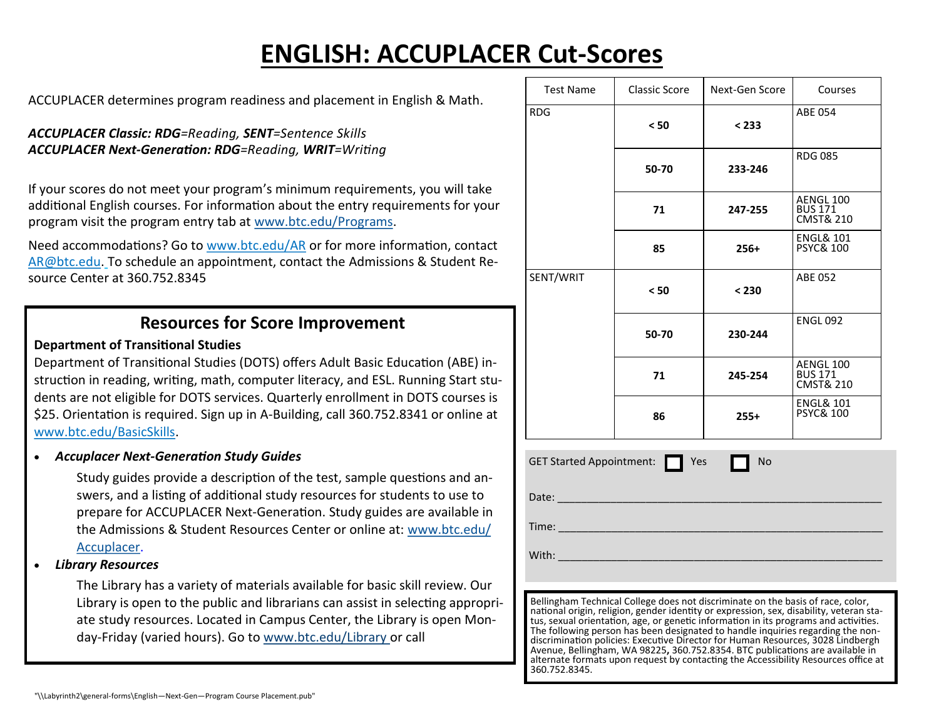# **ENGLISH: ACCUPLACER Cut-Scores**

ACCUPLACER determines program readiness and placement in English & Math.

#### *ACCUPLACER Classic: RDG=Reading, SENT=Sentence Skills ACCUPLACER Next-Generation: RDG=Reading, WRIT=Writing*

If your scores do not meet your program's minimum requirements, you will take additional English courses. For information about the entry requirements for your program visit the program entry tab at [www.btc.edu/Programs.](http://www.btc.edu/Programs)

Need accommodations? Go to www.btc.edu/AR or for more information, contact AR@btc.edu. To schedule an appointment, contact the Admissions & Student Resource Center at 360.752.8345

## **Resources for Score Improvement**

### **Department of Transitional Studies**

Department of Transitional Studies (DOTS) offers Adult Basic Education (ABE) instruction in reading, writing, math, computer literacy, and ESL. Running Start students are not eligible for DOTS services. Quarterly enrollment in DOTS courses is \$25. Orientation is required. Sign up in A-Building, call 360.752.8341 or online at www.btc.edu/BasicSkills.

*Accuplacer Next-Generation Study Guides*

Study guides provide a description of the test, sample questions and answers, and a listing of additional study resources for students to use to prepare for ACCUPLACER Next-Generation. Study guides are available in the Admissions & Student Resources Center or online at: [www.btc.edu/](http://www.btc.ctc.edu/Accuplacer) [Accuplacer.](http://www.btc.ctc.edu/Accuplacer)

*Library Resources*

The Library has a variety of materials available for basic skill review. Our Library is open to the public and librarians can assist in selecting appropriate study resources. Located in Campus Center, the Library is open Monday-Friday (varied hours). Go to www.btc.edu/Library or call

| <b>Test Name</b>                                                                                                                                                           | Classic Score | Next-Gen Score | Courses                                             |
|----------------------------------------------------------------------------------------------------------------------------------------------------------------------------|---------------|----------------|-----------------------------------------------------|
| <b>RDG</b>                                                                                                                                                                 | < 50          | < 233          | ABE 054                                             |
|                                                                                                                                                                            | 50-70         | 233-246        | <b>RDG085</b>                                       |
|                                                                                                                                                                            | 71            | 247-255        | AENGL 100<br><b>BUS 171</b><br><b>CMST&amp; 210</b> |
|                                                                                                                                                                            | 85            | $256+$         | ENGL& 101<br><b>PSYC&amp; 100</b>                   |
| SENT/WRIT                                                                                                                                                                  | < 50          | < 230          | ABE 052                                             |
|                                                                                                                                                                            | 50-70         | 230-244        | <b>ENGL 092</b>                                     |
|                                                                                                                                                                            | 71            | 245-254        | AENGL 100<br><b>BUS 171</b><br><b>CMST&amp; 210</b> |
|                                                                                                                                                                            | 86            | $255+$         | <b>ENGL&amp; 101</b><br><b>PSYC&amp; 100</b>        |
| GET Started Appointment: $\Box$<br>Yes<br>No                                                                                                                               |               |                |                                                     |
|                                                                                                                                                                            |               |                |                                                     |
|                                                                                                                                                                            |               |                |                                                     |
|                                                                                                                                                                            |               |                |                                                     |
|                                                                                                                                                                            |               |                |                                                     |
| Bellingham Technical College does not discriminate on the basis of race, color,<br>national origin, religion, gender identity or expression, sex, disability, veteran sta- |               |                |                                                     |

tus, sexual orientation, age, or genetic information in its programs and activities. The following person has been designated to handle inquiries regarding the nondiscrimination policies: Executive Director for Human Resources, 3028 Lindbergh Avenue, Bellingham, WA 98225**,** 360.752.8354. BTC publications are available in alternate formats upon request by contacting the Accessibility Resources office at 360.752.8345.